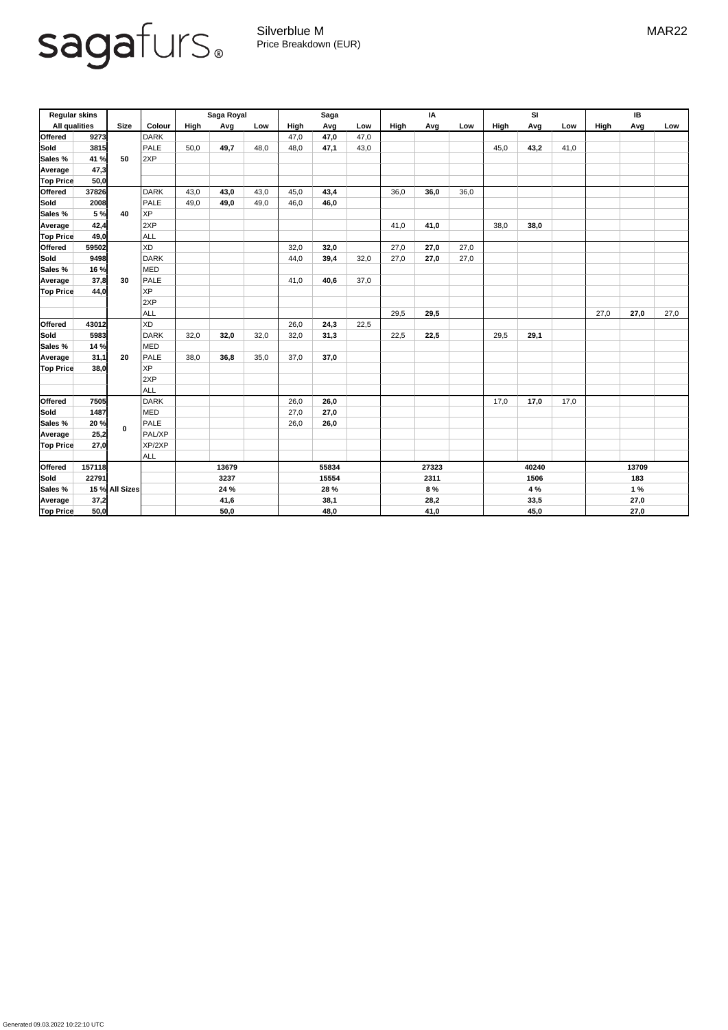Generated 09.03.2022 10:22:10 UTC



Silverblue M MAR22 Price Breakdown (EUR)

| <b>Regular skins</b> |        |                |               | Saga Royal  |      |      | <b>Saga</b> |      |      | IA          |      |      | SI          |      |      | IB          |      |      |
|----------------------|--------|----------------|---------------|-------------|------|------|-------------|------|------|-------------|------|------|-------------|------|------|-------------|------|------|
| <b>All qualities</b> |        | <b>Size</b>    | <b>Colour</b> | <b>High</b> | Avg  | Low  | <b>High</b> | Avg  | Low  | <b>High</b> | Avg  | Low  | <b>High</b> | Avg  | Low  | <b>High</b> | Avg  | Low  |
| <b>Offered</b>       | 9273   |                | <b>DARK</b>   |             |      |      | 47,0        | 47,0 | 47,0 |             |      |      |             |      |      |             |      |      |
| Sold                 | 3815   |                | <b>PALE</b>   | 50,0        | 49,7 | 48,0 | 48,0        | 47,1 | 43,0 |             |      |      | 45,0        | 43,2 | 41,0 |             |      |      |
| Sales %              | 41 %   | 50             | 2XP           |             |      |      |             |      |      |             |      |      |             |      |      |             |      |      |
| Average              | 47,3   |                |               |             |      |      |             |      |      |             |      |      |             |      |      |             |      |      |
| <b>Top Price</b>     | 50,0   |                |               |             |      |      |             |      |      |             |      |      |             |      |      |             |      |      |
| <b>Offered</b>       | 37826  |                | <b>DARK</b>   | 43,0        | 43,0 | 43,0 | 45,0        | 43,4 |      | 36,0        | 36,0 | 36,0 |             |      |      |             |      |      |
| <b>Sold</b>          | 2008   | 40             | <b>PALE</b>   | 49,0        | 49,0 | 49,0 | 46,0        | 46,0 |      |             |      |      |             |      |      |             |      |      |
| Sales %              | 5 %    |                | XP            |             |      |      |             |      |      |             |      |      |             |      |      |             |      |      |
| Average              | 42,4   |                | 2XP           |             |      |      |             |      |      | 41,0        | 41,0 |      | 38,0        | 38,0 |      |             |      |      |
| <b>Top Price</b>     | 49,0   |                | ALL           |             |      |      |             |      |      |             |      |      |             |      |      |             |      |      |
| <b>Offered</b>       | 59502  |                | XD            |             |      |      | 32,0        | 32,0 |      | 27,0        | 27,0 | 27,0 |             |      |      |             |      |      |
| Sold                 | 9498   |                | <b>DARK</b>   |             |      |      | 44,0        | 39,4 | 32,0 | 27,0        | 27,0 | 27,0 |             |      |      |             |      |      |
| Sales %              | 16 %   |                | MED           |             |      |      |             |      |      |             |      |      |             |      |      |             |      |      |
| Average              | 37,8   | 30             | PALE          |             |      |      | 41,0        | 40,6 | 37,0 |             |      |      |             |      |      |             |      |      |
| <b>Top Price</b>     | 44,0   |                | <b>XP</b>     |             |      |      |             |      |      |             |      |      |             |      |      |             |      |      |
|                      |        |                | 2XP           |             |      |      |             |      |      |             |      |      |             |      |      |             |      |      |
|                      |        |                | <b>ALL</b>    |             |      |      |             |      |      | 29,5        | 29,5 |      |             |      |      | 27,0        | 27,0 | 27,0 |
| <b>Offered</b>       | 43012  |                | XD            |             |      |      | 26,0        | 24,3 | 22,5 |             |      |      |             |      |      |             |      |      |
| Sold                 | 5983   |                | <b>DARK</b>   | 32,0        | 32,0 | 32,0 | 32,0        | 31,3 |      | 22,5        | 22,5 |      | 29,5        | 29,1 |      |             |      |      |
| Sales %              | 14 %   |                | MED           |             |      |      |             |      |      |             |      |      |             |      |      |             |      |      |
| Average              | 31,1   | 20             | PALE          | 38,0        | 36,8 | 35,0 | 37,0        | 37,0 |      |             |      |      |             |      |      |             |      |      |
| <b>Top Price</b>     | 38,0   |                | <b>XP</b>     |             |      |      |             |      |      |             |      |      |             |      |      |             |      |      |
|                      |        |                | 2XP           |             |      |      |             |      |      |             |      |      |             |      |      |             |      |      |
|                      |        |                | ALL           |             |      |      |             |      |      |             |      |      |             |      |      |             |      |      |
| <b>Offered</b>       | 7505   |                | DARK          |             |      |      | 26,0        | 26,0 |      |             |      |      | 17,0        | 17,0 | 17,0 |             |      |      |
| Sold                 | 1487   |                | MED           |             |      |      | 27,0        | 27,0 |      |             |      |      |             |      |      |             |      |      |
| Sales %              | 20%    | $\mathbf 0$    | PALE          |             |      |      | 26,0        | 26,0 |      |             |      |      |             |      |      |             |      |      |
| Average              | 25,2   |                | PAL/XP        |             |      |      |             |      |      |             |      |      |             |      |      |             |      |      |
| <b>Top Price</b>     | 27,0   |                | XP/2XP        |             |      |      |             |      |      |             |      |      |             |      |      |             |      |      |
|                      |        |                | ALL           |             |      |      |             |      |      |             |      |      |             |      |      |             |      |      |
| <b>Offered</b>       | 157118 |                |               | 13679       |      |      | 55834       |      |      | 27323       |      |      | 40240       |      |      | 13709       |      |      |
| Sold                 | 22791  |                |               | 3237        |      |      | 15554       |      |      | 2311        |      |      | 1506        |      |      | 183         |      |      |
| Sales %              |        | 15 % All Sizes |               | 24 %        |      |      | 28 %        |      |      | 8 %         |      |      | 4 %         |      |      | 1%          |      |      |
| Average              | 37,2   |                |               | 41,6        |      |      | 38,1        |      |      | 28,2        |      |      | 33,5        |      |      | 27,0        |      |      |
| <b>Top Price</b>     | 50,0   |                |               | 50,0        |      |      | 48,0        |      |      | 41,0        |      |      | 45,0        |      |      | 27,0        |      |      |